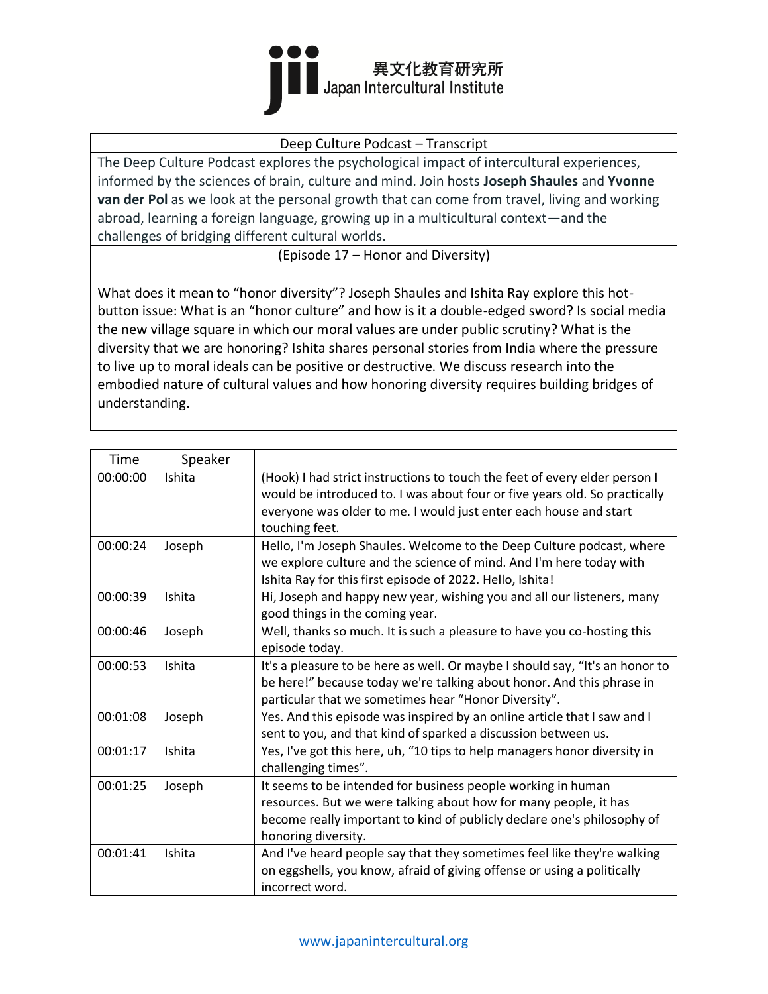

## Deep Culture Podcast – Transcript

The Deep Culture Podcast explores the psychological impact of intercultural experiences, informed by the sciences of brain, culture and mind. Join hosts **Joseph Shaules** and **Yvonne van der Pol** as we look at the personal growth that can come from travel, living and working abroad, learning a foreign language, growing up in a multicultural context—and the challenges of bridging different cultural worlds.

(Episode 17 – Honor and Diversity)

What does it mean to "honor diversity"? Joseph Shaules and Ishita Ray explore this hotbutton issue: What is an "honor culture" and how is it a double-edged sword? Is social media the new village square in which our moral values are under public scrutiny? What is the diversity that we are honoring? Ishita shares personal stories from India where the pressure to live up to moral ideals can be positive or destructive. We discuss research into the embodied nature of cultural values and how honoring diversity requires building bridges of understanding.

| Time     | Speaker |                                                                                                                                                                                                                                                 |
|----------|---------|-------------------------------------------------------------------------------------------------------------------------------------------------------------------------------------------------------------------------------------------------|
| 00:00:00 | Ishita  | (Hook) I had strict instructions to touch the feet of every elder person I<br>would be introduced to. I was about four or five years old. So practically<br>everyone was older to me. I would just enter each house and start<br>touching feet. |
| 00:00:24 | Joseph  | Hello, I'm Joseph Shaules. Welcome to the Deep Culture podcast, where<br>we explore culture and the science of mind. And I'm here today with<br>Ishita Ray for this first episode of 2022. Hello, Ishita!                                       |
| 00:00:39 | Ishita  | Hi, Joseph and happy new year, wishing you and all our listeners, many<br>good things in the coming year.                                                                                                                                       |
| 00:00:46 | Joseph  | Well, thanks so much. It is such a pleasure to have you co-hosting this<br>episode today.                                                                                                                                                       |
| 00:00:53 | Ishita  | It's a pleasure to be here as well. Or maybe I should say, "It's an honor to<br>be here!" because today we're talking about honor. And this phrase in<br>particular that we sometimes hear "Honor Diversity".                                   |
| 00:01:08 | Joseph  | Yes. And this episode was inspired by an online article that I saw and I<br>sent to you, and that kind of sparked a discussion between us.                                                                                                      |
| 00:01:17 | Ishita  | Yes, I've got this here, uh, "10 tips to help managers honor diversity in<br>challenging times".                                                                                                                                                |
| 00:01:25 | Joseph  | It seems to be intended for business people working in human<br>resources. But we were talking about how for many people, it has<br>become really important to kind of publicly declare one's philosophy of<br>honoring diversity.              |
| 00:01:41 | Ishita  | And I've heard people say that they sometimes feel like they're walking<br>on eggshells, you know, afraid of giving offense or using a politically<br>incorrect word.                                                                           |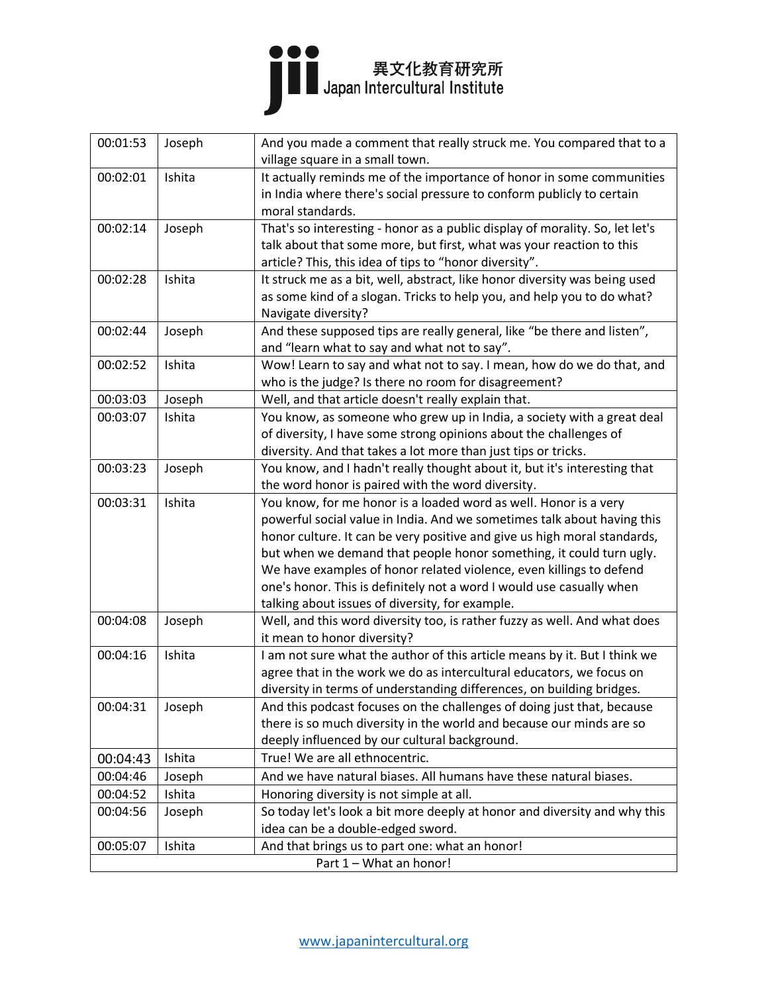

| 00:01:53                | Joseph | And you made a comment that really struck me. You compared that to a                                                           |  |
|-------------------------|--------|--------------------------------------------------------------------------------------------------------------------------------|--|
|                         |        | village square in a small town.                                                                                                |  |
| 00:02:01                | Ishita | It actually reminds me of the importance of honor in some communities                                                          |  |
|                         |        | in India where there's social pressure to conform publicly to certain                                                          |  |
|                         |        | moral standards.                                                                                                               |  |
| 00:02:14                | Joseph | That's so interesting - honor as a public display of morality. So, let let's                                                   |  |
|                         |        | talk about that some more, but first, what was your reaction to this                                                           |  |
|                         |        | article? This, this idea of tips to "honor diversity".                                                                         |  |
| 00:02:28                | Ishita | It struck me as a bit, well, abstract, like honor diversity was being used                                                     |  |
|                         |        | as some kind of a slogan. Tricks to help you, and help you to do what?                                                         |  |
|                         |        | Navigate diversity?                                                                                                            |  |
| 00:02:44                | Joseph | And these supposed tips are really general, like "be there and listen",                                                        |  |
|                         |        | and "learn what to say and what not to say".                                                                                   |  |
| 00:02:52                | Ishita | Wow! Learn to say and what not to say. I mean, how do we do that, and                                                          |  |
|                         |        | who is the judge? Is there no room for disagreement?                                                                           |  |
| 00:03:03                | Joseph | Well, and that article doesn't really explain that.                                                                            |  |
| 00:03:07                | Ishita | You know, as someone who grew up in India, a society with a great deal                                                         |  |
|                         |        | of diversity, I have some strong opinions about the challenges of                                                              |  |
| 00:03:23                |        | diversity. And that takes a lot more than just tips or tricks.                                                                 |  |
|                         | Joseph | You know, and I hadn't really thought about it, but it's interesting that<br>the word honor is paired with the word diversity. |  |
| 00:03:31                | Ishita | You know, for me honor is a loaded word as well. Honor is a very                                                               |  |
|                         |        | powerful social value in India. And we sometimes talk about having this                                                        |  |
|                         |        | honor culture. It can be very positive and give us high moral standards,                                                       |  |
|                         |        | but when we demand that people honor something, it could turn ugly.                                                            |  |
|                         |        | We have examples of honor related violence, even killings to defend                                                            |  |
|                         |        | one's honor. This is definitely not a word I would use casually when                                                           |  |
|                         |        | talking about issues of diversity, for example.                                                                                |  |
| 00:04:08                | Joseph | Well, and this word diversity too, is rather fuzzy as well. And what does                                                      |  |
|                         |        | it mean to honor diversity?                                                                                                    |  |
| 00:04:16                | Ishita | I am not sure what the author of this article means by it. But I think we                                                      |  |
|                         |        | agree that in the work we do as intercultural educators, we focus on                                                           |  |
|                         |        | diversity in terms of understanding differences, on building bridges.                                                          |  |
| 00:04:31                | Joseph | And this podcast focuses on the challenges of doing just that, because                                                         |  |
|                         |        | there is so much diversity in the world and because our minds are so                                                           |  |
|                         |        | deeply influenced by our cultural background.                                                                                  |  |
| 00:04:43                | Ishita | True! We are all ethnocentric.                                                                                                 |  |
| 00:04:46                | Joseph | And we have natural biases. All humans have these natural biases.                                                              |  |
| 00:04:52                | Ishita | Honoring diversity is not simple at all.                                                                                       |  |
| 00:04:56                | Joseph | So today let's look a bit more deeply at honor and diversity and why this                                                      |  |
|                         |        | idea can be a double-edged sword.                                                                                              |  |
| 00:05:07                | Ishita | And that brings us to part one: what an honor!                                                                                 |  |
| Part 1 - What an honor! |        |                                                                                                                                |  |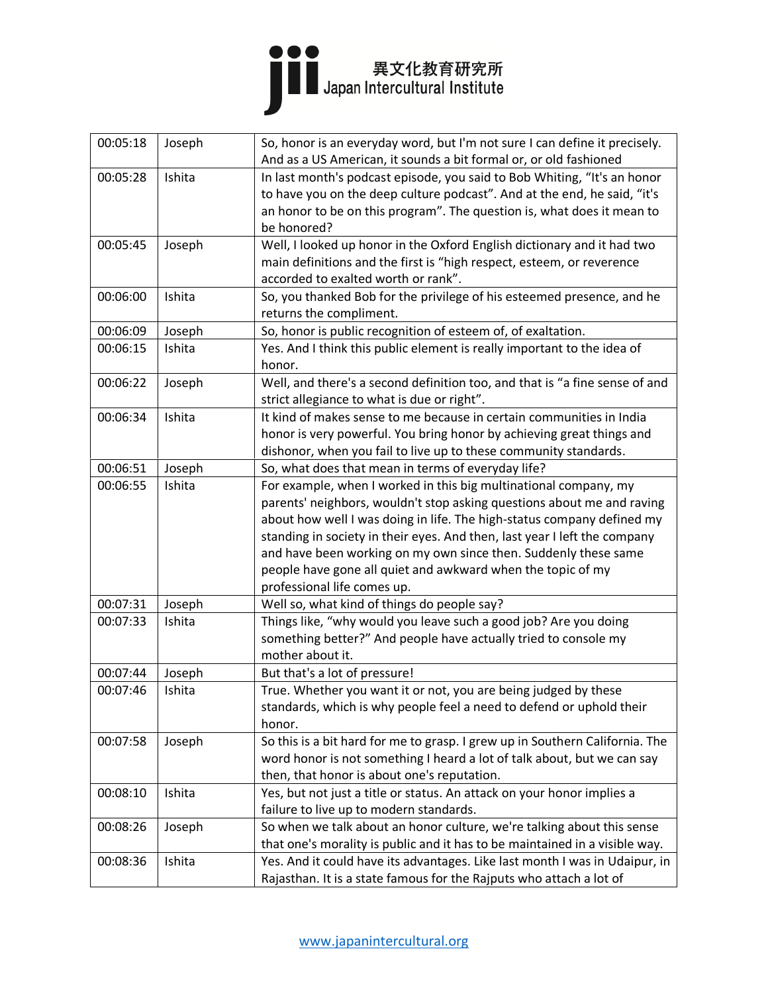

| 00:05:18 | Joseph | So, honor is an everyday word, but I'm not sure I can define it precisely.<br>And as a US American, it sounds a bit formal or, or old fashioned |
|----------|--------|-------------------------------------------------------------------------------------------------------------------------------------------------|
| 00:05:28 | Ishita | In last month's podcast episode, you said to Bob Whiting, "It's an honor                                                                        |
|          |        | to have you on the deep culture podcast". And at the end, he said, "it's                                                                        |
|          |        | an honor to be on this program". The question is, what does it mean to                                                                          |
|          |        | be honored?                                                                                                                                     |
| 00:05:45 | Joseph | Well, I looked up honor in the Oxford English dictionary and it had two                                                                         |
|          |        | main definitions and the first is "high respect, esteem, or reverence                                                                           |
|          |        | accorded to exalted worth or rank".                                                                                                             |
| 00:06:00 | Ishita | So, you thanked Bob for the privilege of his esteemed presence, and he                                                                          |
|          |        | returns the compliment.                                                                                                                         |
| 00:06:09 | Joseph | So, honor is public recognition of esteem of, of exaltation.                                                                                    |
| 00:06:15 | Ishita | Yes. And I think this public element is really important to the idea of                                                                         |
|          |        | honor.                                                                                                                                          |
| 00:06:22 | Joseph | Well, and there's a second definition too, and that is "a fine sense of and                                                                     |
|          |        | strict allegiance to what is due or right".                                                                                                     |
| 00:06:34 | Ishita | It kind of makes sense to me because in certain communities in India                                                                            |
|          |        | honor is very powerful. You bring honor by achieving great things and                                                                           |
|          |        | dishonor, when you fail to live up to these community standards.                                                                                |
| 00:06:51 | Joseph | So, what does that mean in terms of everyday life?                                                                                              |
| 00:06:55 | Ishita | For example, when I worked in this big multinational company, my                                                                                |
|          |        | parents' neighbors, wouldn't stop asking questions about me and raving                                                                          |
|          |        | about how well I was doing in life. The high-status company defined my                                                                          |
|          |        | standing in society in their eyes. And then, last year I left the company                                                                       |
|          |        | and have been working on my own since then. Suddenly these same                                                                                 |
|          |        | people have gone all quiet and awkward when the topic of my                                                                                     |
|          |        | professional life comes up.                                                                                                                     |
| 00:07:31 | Joseph | Well so, what kind of things do people say?                                                                                                     |
| 00:07:33 | Ishita | Things like, "why would you leave such a good job? Are you doing                                                                                |
|          |        | something better?" And people have actually tried to console my                                                                                 |
|          |        | mother about it.                                                                                                                                |
| 00:07:44 | Joseph | But that's a lot of pressure!                                                                                                                   |
| 00:07:46 | Ishita | True. Whether you want it or not, you are being judged by these                                                                                 |
|          |        | standards, which is why people feel a need to defend or uphold their                                                                            |
|          |        | honor.                                                                                                                                          |
| 00:07:58 | Joseph | So this is a bit hard for me to grasp. I grew up in Southern California. The                                                                    |
|          |        | word honor is not something I heard a lot of talk about, but we can say                                                                         |
|          |        | then, that honor is about one's reputation.                                                                                                     |
| 00:08:10 | Ishita | Yes, but not just a title or status. An attack on your honor implies a                                                                          |
|          |        | failure to live up to modern standards.                                                                                                         |
| 00:08:26 | Joseph | So when we talk about an honor culture, we're talking about this sense                                                                          |
|          |        | that one's morality is public and it has to be maintained in a visible way.                                                                     |
| 00:08:36 | Ishita | Yes. And it could have its advantages. Like last month I was in Udaipur, in                                                                     |
|          |        | Rajasthan. It is a state famous for the Rajputs who attach a lot of                                                                             |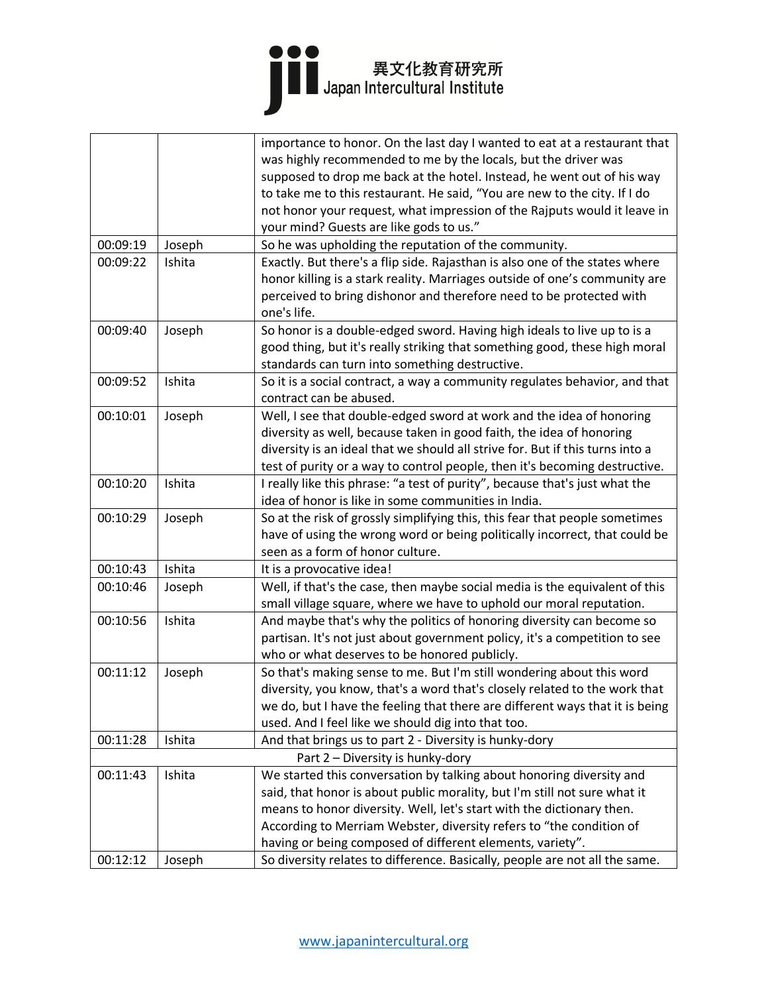## ●●●<br>■■ ■ 異文化教育研究所<br>Japan Intercultural Institute

|          |        | importance to honor. On the last day I wanted to eat at a restaurant that     |
|----------|--------|-------------------------------------------------------------------------------|
|          |        | was highly recommended to me by the locals, but the driver was                |
|          |        | supposed to drop me back at the hotel. Instead, he went out of his way        |
|          |        | to take me to this restaurant. He said, "You are new to the city. If I do     |
|          |        | not honor your request, what impression of the Rajputs would it leave in      |
|          |        | your mind? Guests are like gods to us."                                       |
| 00:09:19 | Joseph | So he was upholding the reputation of the community.                          |
| 00:09:22 | Ishita | Exactly. But there's a flip side. Rajasthan is also one of the states where   |
|          |        | honor killing is a stark reality. Marriages outside of one's community are    |
|          |        | perceived to bring dishonor and therefore need to be protected with           |
|          |        | one's life.                                                                   |
| 00:09:40 | Joseph | So honor is a double-edged sword. Having high ideals to live up to is a       |
|          |        | good thing, but it's really striking that something good, these high moral    |
|          |        | standards can turn into something destructive.                                |
| 00:09:52 | Ishita | So it is a social contract, a way a community regulates behavior, and that    |
|          |        | contract can be abused.                                                       |
| 00:10:01 | Joseph | Well, I see that double-edged sword at work and the idea of honoring          |
|          |        | diversity as well, because taken in good faith, the idea of honoring          |
|          |        | diversity is an ideal that we should all strive for. But if this turns into a |
|          |        | test of purity or a way to control people, then it's becoming destructive.    |
| 00:10:20 | Ishita | I really like this phrase: "a test of purity", because that's just what the   |
|          |        | idea of honor is like in some communities in India.                           |
| 00:10:29 | Joseph | So at the risk of grossly simplifying this, this fear that people sometimes   |
|          |        | have of using the wrong word or being politically incorrect, that could be    |
|          |        | seen as a form of honor culture.                                              |
| 00:10:43 | Ishita | It is a provocative idea!                                                     |
| 00:10:46 | Joseph | Well, if that's the case, then maybe social media is the equivalent of this   |
|          |        | small village square, where we have to uphold our moral reputation.           |
| 00:10:56 | Ishita | And maybe that's why the politics of honoring diversity can become so         |
|          |        | partisan. It's not just about government policy, it's a competition to see    |
|          |        | who or what deserves to be honored publicly.                                  |
| 00:11:12 | Joseph | So that's making sense to me. But I'm still wondering about this word         |
|          |        | diversity, you know, that's a word that's closely related to the work that    |
|          |        | we do, but I have the feeling that there are different ways that it is being  |
|          |        | used. And I feel like we should dig into that too.                            |
| 00:11:28 | Ishita | And that brings us to part 2 - Diversity is hunky-dory                        |
|          |        | Part 2 - Diversity is hunky-dory                                              |
| 00:11:43 | Ishita | We started this conversation by talking about honoring diversity and          |
|          |        | said, that honor is about public morality, but I'm still not sure what it     |
|          |        | means to honor diversity. Well, let's start with the dictionary then.         |
|          |        | According to Merriam Webster, diversity refers to "the condition of           |
|          |        | having or being composed of different elements, variety".                     |
| 00:12:12 | Joseph | So diversity relates to difference. Basically, people are not all the same.   |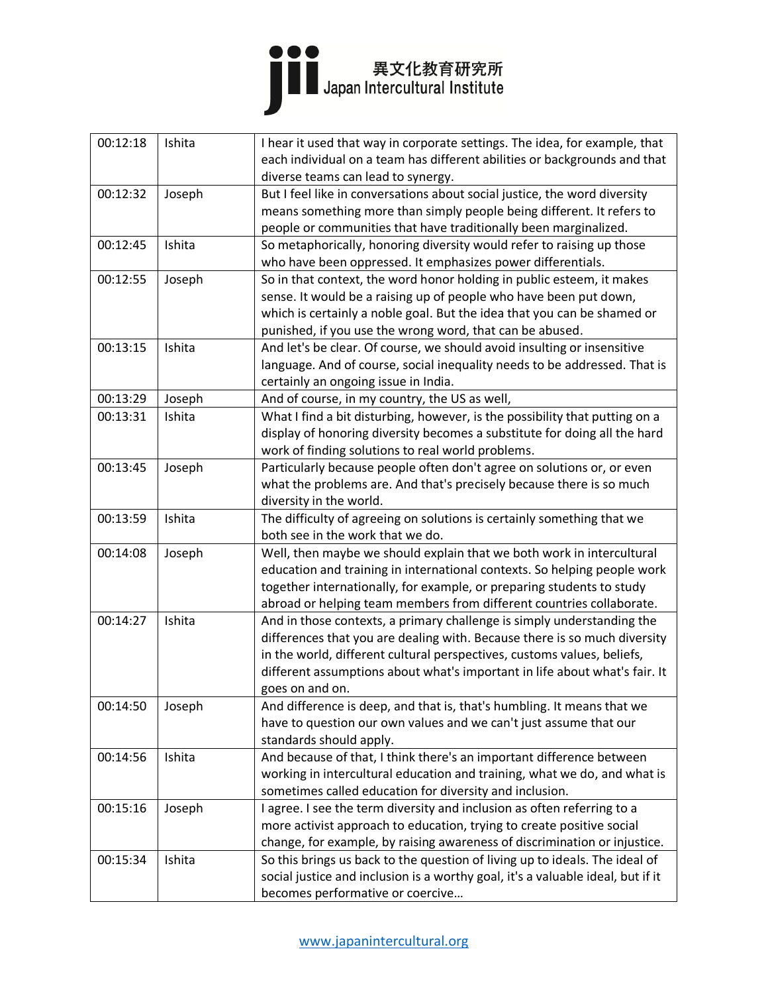

| 00:12:18 | Ishita | I hear it used that way in corporate settings. The idea, for example, that<br>each individual on a team has different abilities or backgrounds and that |
|----------|--------|---------------------------------------------------------------------------------------------------------------------------------------------------------|
|          |        | diverse teams can lead to synergy.                                                                                                                      |
| 00:12:32 | Joseph | But I feel like in conversations about social justice, the word diversity                                                                               |
|          |        | means something more than simply people being different. It refers to                                                                                   |
|          |        | people or communities that have traditionally been marginalized.                                                                                        |
| 00:12:45 | Ishita | So metaphorically, honoring diversity would refer to raising up those                                                                                   |
|          |        | who have been oppressed. It emphasizes power differentials.                                                                                             |
| 00:12:55 | Joseph | So in that context, the word honor holding in public esteem, it makes                                                                                   |
|          |        | sense. It would be a raising up of people who have been put down,                                                                                       |
|          |        | which is certainly a noble goal. But the idea that you can be shamed or                                                                                 |
|          |        | punished, if you use the wrong word, that can be abused.                                                                                                |
| 00:13:15 | Ishita | And let's be clear. Of course, we should avoid insulting or insensitive                                                                                 |
|          |        | language. And of course, social inequality needs to be addressed. That is                                                                               |
|          |        | certainly an ongoing issue in India.                                                                                                                    |
| 00:13:29 | Joseph | And of course, in my country, the US as well,                                                                                                           |
| 00:13:31 | Ishita | What I find a bit disturbing, however, is the possibility that putting on a                                                                             |
|          |        | display of honoring diversity becomes a substitute for doing all the hard                                                                               |
|          |        | work of finding solutions to real world problems.                                                                                                       |
| 00:13:45 | Joseph | Particularly because people often don't agree on solutions or, or even                                                                                  |
|          |        | what the problems are. And that's precisely because there is so much                                                                                    |
|          |        | diversity in the world.                                                                                                                                 |
| 00:13:59 | Ishita | The difficulty of agreeing on solutions is certainly something that we                                                                                  |
|          |        | both see in the work that we do.                                                                                                                        |
| 00:14:08 | Joseph | Well, then maybe we should explain that we both work in intercultural                                                                                   |
|          |        | education and training in international contexts. So helping people work                                                                                |
|          |        | together internationally, for example, or preparing students to study                                                                                   |
|          |        | abroad or helping team members from different countries collaborate.                                                                                    |
| 00:14:27 | Ishita | And in those contexts, a primary challenge is simply understanding the                                                                                  |
|          |        | differences that you are dealing with. Because there is so much diversity                                                                               |
|          |        | in the world, different cultural perspectives, customs values, beliefs,                                                                                 |
|          |        | different assumptions about what's important in life about what's fair. It                                                                              |
|          |        | goes on and on.                                                                                                                                         |
| 00:14:50 | Joseph | And difference is deep, and that is, that's humbling. It means that we                                                                                  |
|          |        | have to question our own values and we can't just assume that our                                                                                       |
|          |        | standards should apply.                                                                                                                                 |
| 00:14:56 | Ishita | And because of that, I think there's an important difference between                                                                                    |
|          |        | working in intercultural education and training, what we do, and what is                                                                                |
|          |        | sometimes called education for diversity and inclusion.                                                                                                 |
| 00:15:16 | Joseph | I agree. I see the term diversity and inclusion as often referring to a                                                                                 |
|          |        | more activist approach to education, trying to create positive social                                                                                   |
|          |        | change, for example, by raising awareness of discrimination or injustice.                                                                               |
| 00:15:34 | Ishita | So this brings us back to the question of living up to ideals. The ideal of                                                                             |
|          |        | social justice and inclusion is a worthy goal, it's a valuable ideal, but if it                                                                         |
|          |        | becomes performative or coercive                                                                                                                        |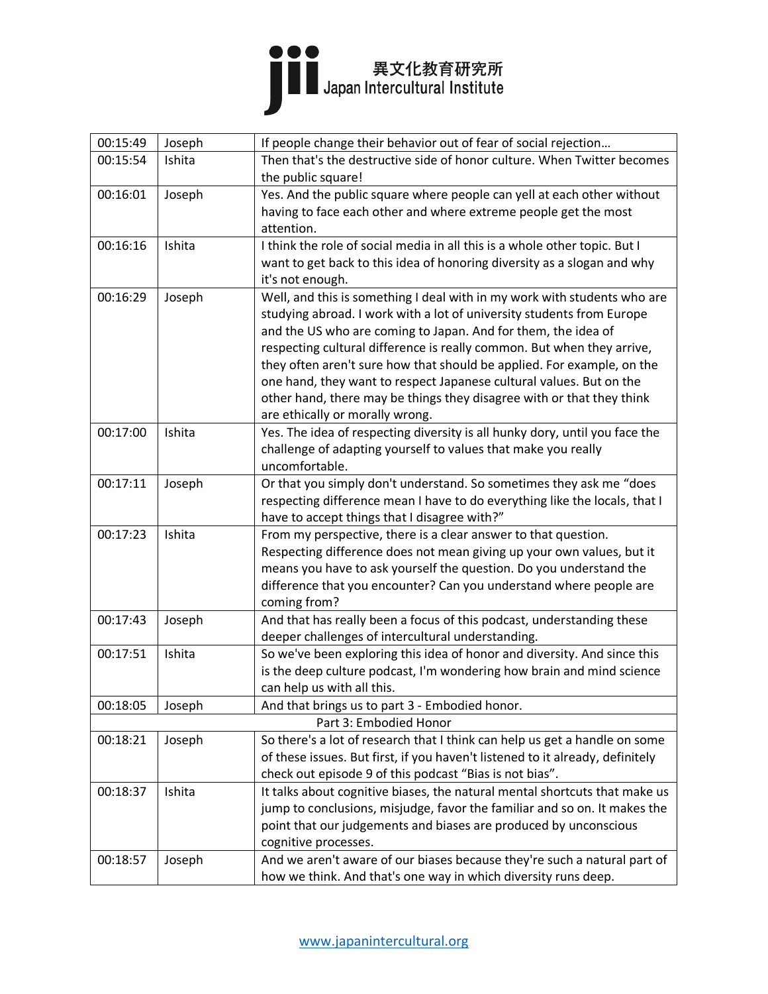## 

| 00:15:49 | Joseph | If people change their behavior out of fear of social rejection               |
|----------|--------|-------------------------------------------------------------------------------|
| 00:15:54 | Ishita | Then that's the destructive side of honor culture. When Twitter becomes       |
|          |        | the public square!                                                            |
| 00:16:01 | Joseph | Yes. And the public square where people can yell at each other without        |
|          |        | having to face each other and where extreme people get the most               |
|          |        | attention.                                                                    |
| 00:16:16 | Ishita | I think the role of social media in all this is a whole other topic. But I    |
|          |        | want to get back to this idea of honoring diversity as a slogan and why       |
|          |        | it's not enough.                                                              |
| 00:16:29 | Joseph | Well, and this is something I deal with in my work with students who are      |
|          |        | studying abroad. I work with a lot of university students from Europe         |
|          |        | and the US who are coming to Japan. And for them, the idea of                 |
|          |        | respecting cultural difference is really common. But when they arrive,        |
|          |        | they often aren't sure how that should be applied. For example, on the        |
|          |        | one hand, they want to respect Japanese cultural values. But on the           |
|          |        | other hand, there may be things they disagree with or that they think         |
|          |        | are ethically or morally wrong.                                               |
| 00:17:00 | Ishita | Yes. The idea of respecting diversity is all hunky dory, until you face the   |
|          |        | challenge of adapting yourself to values that make you really                 |
|          |        | uncomfortable.                                                                |
| 00:17:11 | Joseph | Or that you simply don't understand. So sometimes they ask me "does           |
|          |        | respecting difference mean I have to do everything like the locals, that I    |
|          |        | have to accept things that I disagree with?"                                  |
| 00:17:23 | Ishita | From my perspective, there is a clear answer to that question.                |
|          |        | Respecting difference does not mean giving up your own values, but it         |
|          |        | means you have to ask yourself the question. Do you understand the            |
|          |        | difference that you encounter? Can you understand where people are            |
|          |        | coming from?                                                                  |
| 00:17:43 | Joseph | And that has really been a focus of this podcast, understanding these         |
|          |        | deeper challenges of intercultural understanding.                             |
| 00:17:51 | Ishita | So we've been exploring this idea of honor and diversity. And since this      |
|          |        | is the deep culture podcast, I'm wondering how brain and mind science         |
|          |        | can help us with all this.                                                    |
| 00:18:05 | Joseph | And that brings us to part 3 - Embodied honor.                                |
|          |        | Part 3: Embodied Honor                                                        |
| 00:18:21 | Joseph | So there's a lot of research that I think can help us get a handle on some    |
|          |        | of these issues. But first, if you haven't listened to it already, definitely |
|          |        | check out episode 9 of this podcast "Bias is not bias".                       |
| 00:18:37 | Ishita | It talks about cognitive biases, the natural mental shortcuts that make us    |
|          |        | jump to conclusions, misjudge, favor the familiar and so on. It makes the     |
|          |        | point that our judgements and biases are produced by unconscious              |
|          |        | cognitive processes.                                                          |
| 00:18:57 | Joseph | And we aren't aware of our biases because they're such a natural part of      |
|          |        | how we think. And that's one way in which diversity runs deep.                |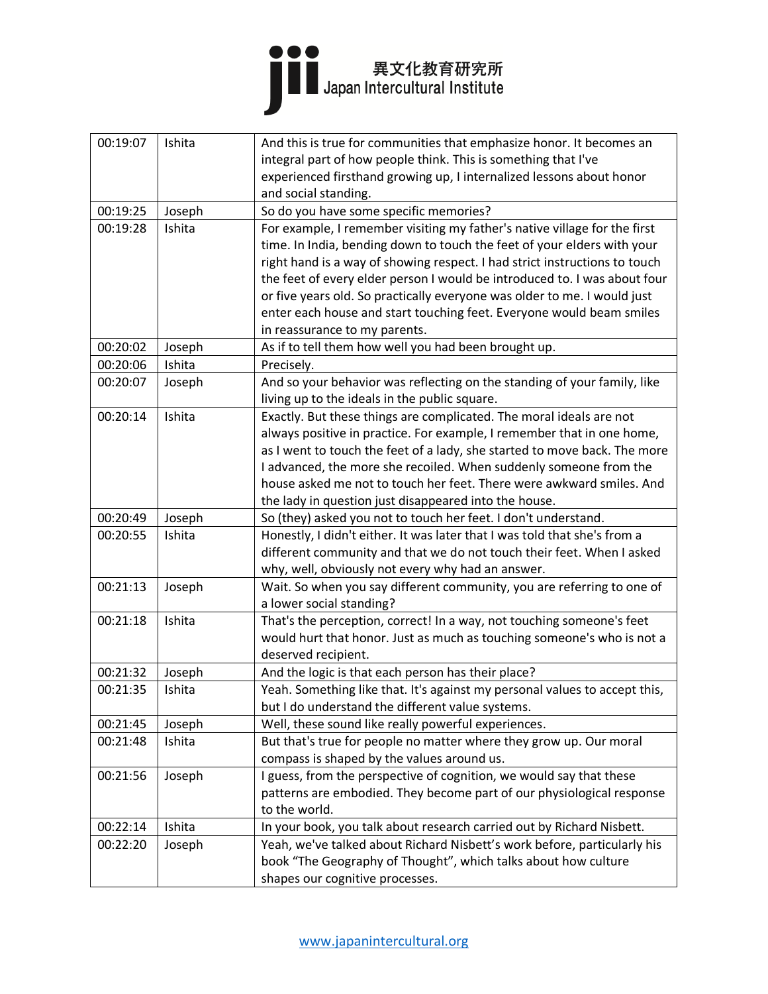

| 00:19:07 | Ishita | And this is true for communities that emphasize honor. It becomes an       |
|----------|--------|----------------------------------------------------------------------------|
|          |        | integral part of how people think. This is something that I've             |
|          |        | experienced firsthand growing up, I internalized lessons about honor       |
|          |        | and social standing.                                                       |
| 00:19:25 | Joseph | So do you have some specific memories?                                     |
| 00:19:28 | Ishita | For example, I remember visiting my father's native village for the first  |
|          |        | time. In India, bending down to touch the feet of your elders with your    |
|          |        | right hand is a way of showing respect. I had strict instructions to touch |
|          |        | the feet of every elder person I would be introduced to. I was about four  |
|          |        | or five years old. So practically everyone was older to me. I would just   |
|          |        | enter each house and start touching feet. Everyone would beam smiles       |
|          |        | in reassurance to my parents.                                              |
| 00:20:02 | Joseph | As if to tell them how well you had been brought up.                       |
| 00:20:06 | Ishita | Precisely.                                                                 |
| 00:20:07 | Joseph | And so your behavior was reflecting on the standing of your family, like   |
|          |        | living up to the ideals in the public square.                              |
| 00:20:14 | Ishita | Exactly. But these things are complicated. The moral ideals are not        |
|          |        | always positive in practice. For example, I remember that in one home,     |
|          |        | as I went to touch the feet of a lady, she started to move back. The more  |
|          |        | I advanced, the more she recoiled. When suddenly someone from the          |
|          |        | house asked me not to touch her feet. There were awkward smiles. And       |
|          |        | the lady in question just disappeared into the house.                      |
| 00:20:49 | Joseph | So (they) asked you not to touch her feet. I don't understand.             |
| 00:20:55 | Ishita | Honestly, I didn't either. It was later that I was told that she's from a  |
|          |        | different community and that we do not touch their feet. When I asked      |
|          |        | why, well, obviously not every why had an answer.                          |
| 00:21:13 | Joseph | Wait. So when you say different community, you are referring to one of     |
|          |        | a lower social standing?                                                   |
| 00:21:18 | Ishita | That's the perception, correct! In a way, not touching someone's feet      |
|          |        | would hurt that honor. Just as much as touching someone's who is not a     |
|          |        | deserved recipient.                                                        |
| 00:21:32 | Joseph | And the logic is that each person has their place?                         |
| 00:21:35 | Ishita | Yeah. Something like that. It's against my personal values to accept this, |
|          |        | but I do understand the different value systems.                           |
| 00:21:45 | Joseph | Well, these sound like really powerful experiences.                        |
| 00:21:48 | Ishita | But that's true for people no matter where they grow up. Our moral         |
|          |        | compass is shaped by the values around us.                                 |
| 00:21:56 | Joseph | I guess, from the perspective of cognition, we would say that these        |
|          |        | patterns are embodied. They become part of our physiological response      |
|          |        | to the world.                                                              |
| 00:22:14 | Ishita | In your book, you talk about research carried out by Richard Nisbett.      |
| 00:22:20 | Joseph | Yeah, we've talked about Richard Nisbett's work before, particularly his   |
|          |        | book "The Geography of Thought", which talks about how culture             |
|          |        | shapes our cognitive processes.                                            |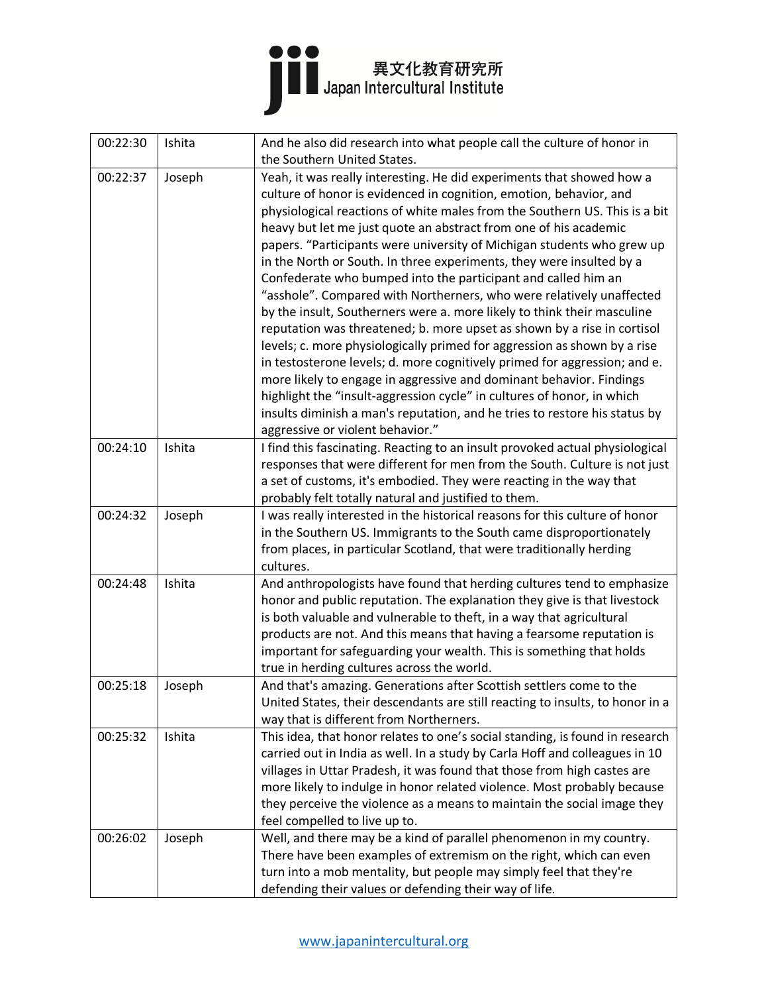

| 00:22:30 | Ishita | And he also did research into what people call the culture of honor in                                                                             |
|----------|--------|----------------------------------------------------------------------------------------------------------------------------------------------------|
|          |        | the Southern United States.                                                                                                                        |
| 00:22:37 | Joseph | Yeah, it was really interesting. He did experiments that showed how a                                                                              |
|          |        | culture of honor is evidenced in cognition, emotion, behavior, and                                                                                 |
|          |        | physiological reactions of white males from the Southern US. This is a bit                                                                         |
|          |        | heavy but let me just quote an abstract from one of his academic                                                                                   |
|          |        | papers. "Participants were university of Michigan students who grew up                                                                             |
|          |        | in the North or South. In three experiments, they were insulted by a                                                                               |
|          |        | Confederate who bumped into the participant and called him an                                                                                      |
|          |        | "asshole". Compared with Northerners, who were relatively unaffected                                                                               |
|          |        | by the insult, Southerners were a. more likely to think their masculine                                                                            |
|          |        | reputation was threatened; b. more upset as shown by a rise in cortisol                                                                            |
|          |        | levels; c. more physiologically primed for aggression as shown by a rise                                                                           |
|          |        | in testosterone levels; d. more cognitively primed for aggression; and e.                                                                          |
|          |        | more likely to engage in aggressive and dominant behavior. Findings                                                                                |
|          |        | highlight the "insult-aggression cycle" in cultures of honor, in which                                                                             |
|          |        | insults diminish a man's reputation, and he tries to restore his status by                                                                         |
|          |        | aggressive or violent behavior."                                                                                                                   |
| 00:24:10 | Ishita | I find this fascinating. Reacting to an insult provoked actual physiological                                                                       |
|          |        | responses that were different for men from the South. Culture is not just                                                                          |
|          |        | a set of customs, it's embodied. They were reacting in the way that                                                                                |
|          |        | probably felt totally natural and justified to them.                                                                                               |
| 00:24:32 | Joseph | I was really interested in the historical reasons for this culture of honor                                                                        |
|          |        | in the Southern US. Immigrants to the South came disproportionately                                                                                |
|          |        | from places, in particular Scotland, that were traditionally herding                                                                               |
| 00:24:48 | Ishita | cultures.                                                                                                                                          |
|          |        | And anthropologists have found that herding cultures tend to emphasize<br>honor and public reputation. The explanation they give is that livestock |
|          |        | is both valuable and vulnerable to theft, in a way that agricultural                                                                               |
|          |        | products are not. And this means that having a fearsome reputation is                                                                              |
|          |        | important for safeguarding your wealth. This is something that holds                                                                               |
|          |        | true in herding cultures across the world.                                                                                                         |
| 00:25:18 | Joseph | And that's amazing. Generations after Scottish settlers come to the                                                                                |
|          |        | United States, their descendants are still reacting to insults, to honor in a                                                                      |
|          |        | way that is different from Northerners.                                                                                                            |
| 00:25:32 | Ishita | This idea, that honor relates to one's social standing, is found in research                                                                       |
|          |        | carried out in India as well. In a study by Carla Hoff and colleagues in 10                                                                        |
|          |        | villages in Uttar Pradesh, it was found that those from high castes are                                                                            |
|          |        | more likely to indulge in honor related violence. Most probably because                                                                            |
|          |        | they perceive the violence as a means to maintain the social image they                                                                            |
|          |        | feel compelled to live up to.                                                                                                                      |
| 00:26:02 | Joseph | Well, and there may be a kind of parallel phenomenon in my country.                                                                                |
|          |        | There have been examples of extremism on the right, which can even                                                                                 |
|          |        | turn into a mob mentality, but people may simply feel that they're                                                                                 |
|          |        | defending their values or defending their way of life.                                                                                             |